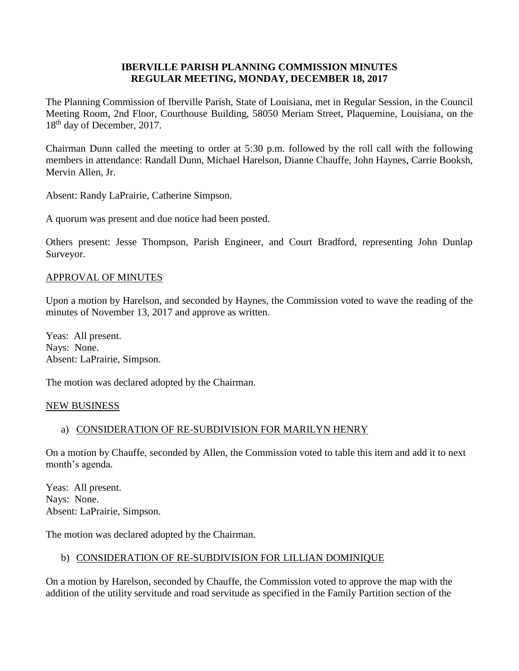### **IBERVILLE PARISH PLANNING COMMISSION MINUTES REGULAR MEETING, MONDAY, DECEMBER 18, 2017**

The Planning Commission of Iberville Parish, State of Louisiana, met in Regular Session, in the Council Meeting Room, 2nd Floor, Courthouse Building, 58050 Meriam Street, Plaquemine, Louisiana, on the 18<sup>th</sup> day of December, 2017.

Chairman Dunn called the meeting to order at 5:30 p.m. followed by the roll call with the following members in attendance: Randall Dunn, Michael Harelson, Dianne Chauffe, John Haynes, Carrie Booksh, Mervin Allen, Jr.

Absent: Randy LaPrairie, Catherine Simpson.

A quorum was present and due notice had been posted.

Others present: Jesse Thompson, Parish Engineer, and Court Bradford, representing John Dunlap Surveyor.

#### APPROVAL OF MINUTES

Upon a motion by Harelson, and seconded by Haynes, the Commission voted to wave the reading of the minutes of November 13, 2017 and approve as written.

Yeas: All present. Nays: None. Absent: LaPrairie, Simpson.

The motion was declared adopted by the Chairman.

#### NEW BUSINESS

#### a) CONSIDERATION OF RE-SUBDIVISION FOR MARILYN HENRY

On a motion by Chauffe, seconded by Allen, the Commission voted to table this item and add it to next month's agenda.

Yeas: All present. Nays: None. Absent: LaPrairie, Simpson.

The motion was declared adopted by the Chairman.

#### b) CONSIDERATION OF RE-SUBDIVISION FOR LILLIAN DOMINIQUE

On a motion by Harelson, seconded by Chauffe, the Commission voted to approve the map with the addition of the utility servitude and road servitude as specified in the Family Partition section of the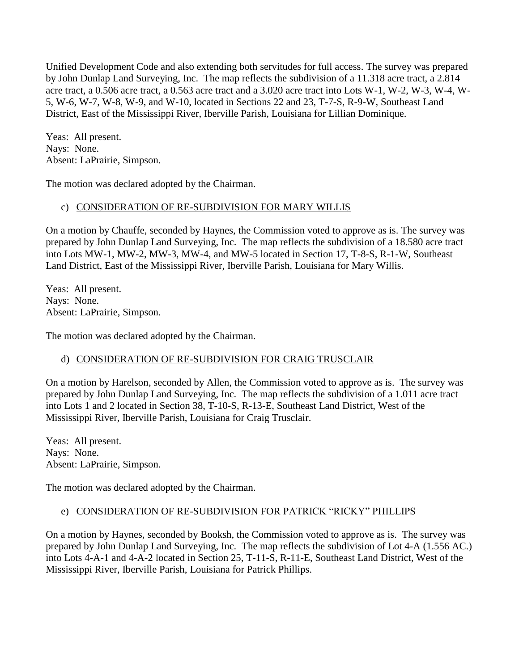Unified Development Code and also extending both servitudes for full access. The survey was prepared by John Dunlap Land Surveying, Inc. The map reflects the subdivision of a 11.318 acre tract, a 2.814 acre tract, a 0.506 acre tract, a 0.563 acre tract and a 3.020 acre tract into Lots W-1, W-2, W-3, W-4, W-5, W-6, W-7, W-8, W-9, and W-10, located in Sections 22 and 23, T-7-S, R-9-W, Southeast Land District, East of the Mississippi River, Iberville Parish, Louisiana for Lillian Dominique.

Yeas: All present. Nays: None. Absent: LaPrairie, Simpson.

The motion was declared adopted by the Chairman.

## c) CONSIDERATION OF RE-SUBDIVISION FOR MARY WILLIS

On a motion by Chauffe, seconded by Haynes, the Commission voted to approve as is. The survey was prepared by John Dunlap Land Surveying, Inc. The map reflects the subdivision of a 18.580 acre tract into Lots MW-1, MW-2, MW-3, MW-4, and MW-5 located in Section 17, T-8-S, R-1-W, Southeast Land District, East of the Mississippi River, Iberville Parish, Louisiana for Mary Willis.

Yeas: All present. Nays: None. Absent: LaPrairie, Simpson.

The motion was declared adopted by the Chairman.

## d) CONSIDERATION OF RE-SUBDIVISION FOR CRAIG TRUSCLAIR

On a motion by Harelson, seconded by Allen, the Commission voted to approve as is. The survey was prepared by John Dunlap Land Surveying, Inc. The map reflects the subdivision of a 1.011 acre tract into Lots 1 and 2 located in Section 38, T-10-S, R-13-E, Southeast Land District, West of the Mississippi River, Iberville Parish, Louisiana for Craig Trusclair.

Yeas: All present. Nays: None. Absent: LaPrairie, Simpson.

The motion was declared adopted by the Chairman.

#### e) CONSIDERATION OF RE-SUBDIVISION FOR PATRICK "RICKY" PHILLIPS

On a motion by Haynes, seconded by Booksh, the Commission voted to approve as is. The survey was prepared by John Dunlap Land Surveying, Inc. The map reflects the subdivision of Lot 4-A (1.556 AC.) into Lots 4-A-1 and 4-A-2 located in Section 25, T-11-S, R-11-E, Southeast Land District, West of the Mississippi River, Iberville Parish, Louisiana for Patrick Phillips.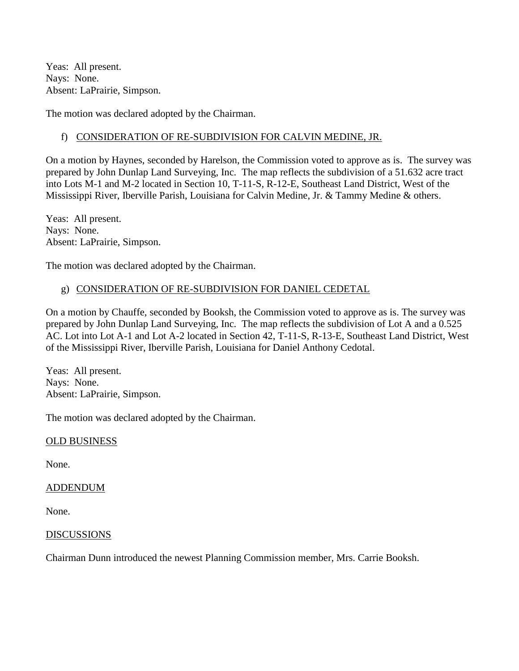Yeas: All present. Nays: None. Absent: LaPrairie, Simpson.

The motion was declared adopted by the Chairman.

### f) CONSIDERATION OF RE-SUBDIVISION FOR CALVIN MEDINE, JR.

On a motion by Haynes, seconded by Harelson, the Commission voted to approve as is. The survey was prepared by John Dunlap Land Surveying, Inc. The map reflects the subdivision of a 51.632 acre tract into Lots M-1 and M-2 located in Section 10, T-11-S, R-12-E, Southeast Land District, West of the Mississippi River, Iberville Parish, Louisiana for Calvin Medine, Jr. & Tammy Medine & others.

Yeas: All present. Nays: None. Absent: LaPrairie, Simpson.

The motion was declared adopted by the Chairman.

## g) CONSIDERATION OF RE-SUBDIVISION FOR DANIEL CEDETAL

On a motion by Chauffe, seconded by Booksh, the Commission voted to approve as is. The survey was prepared by John Dunlap Land Surveying, Inc. The map reflects the subdivision of Lot A and a 0.525 AC. Lot into Lot A-1 and Lot A-2 located in Section 42, T-11-S, R-13-E, Southeast Land District, West of the Mississippi River, Iberville Parish, Louisiana for Daniel Anthony Cedotal.

Yeas: All present. Nays: None. Absent: LaPrairie, Simpson.

The motion was declared adopted by the Chairman.

#### OLD BUSINESS

None.

#### ADDENDUM

None.

#### DISCUSSIONS

Chairman Dunn introduced the newest Planning Commission member, Mrs. Carrie Booksh.